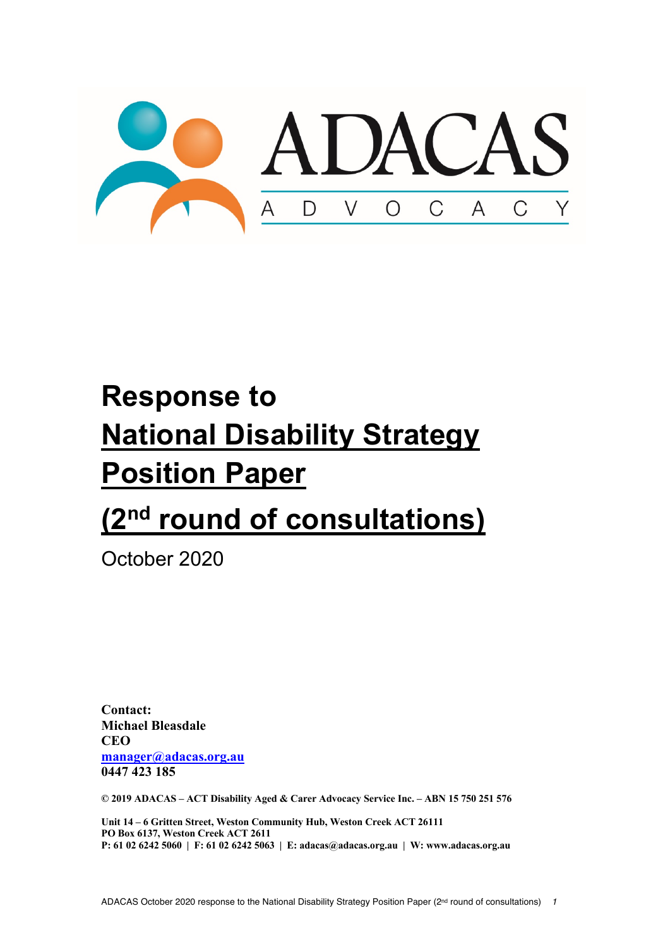

# **Response to National Disability Strategy Position Paper**

## **(2nd round of consultations)**

October 2020

**Contact: Michael Bleasdale CEO manager@adacas.org.au 0447 423 185**

**© 2019 ADACAS – ACT Disability Aged & Carer Advocacy Service Inc. – ABN 15 750 251 576**

**Unit 14 – 6 Gritten Street, Weston Community Hub, Weston Creek ACT 26111 PO Box 6137, Weston Creek ACT 2611 P: 61 02 6242 5060 | F: 61 02 6242 5063 | E: adacas@adacas.org.au | W: www.adacas.org.au**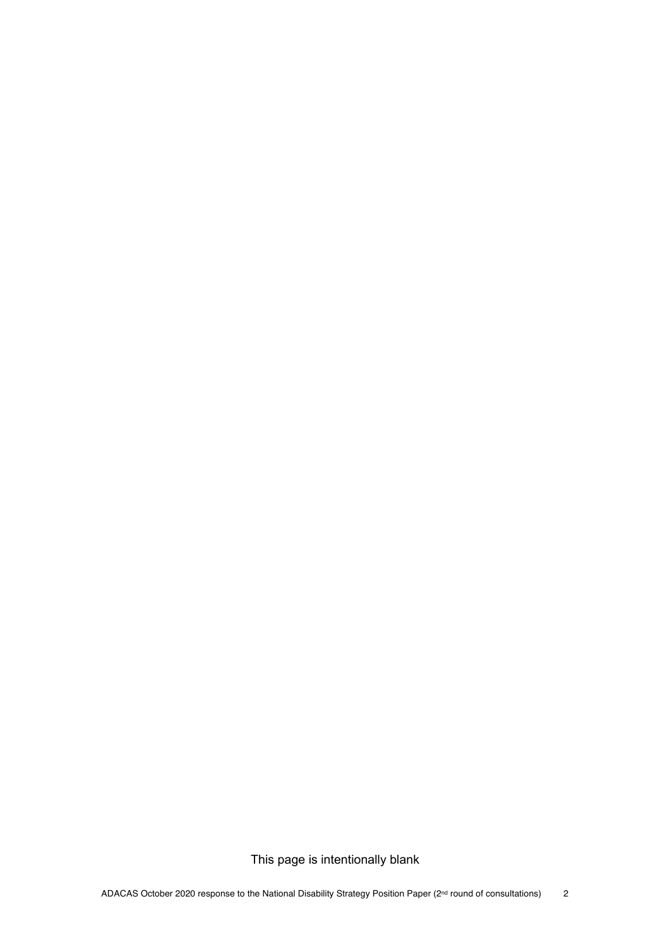This page is intentionally blank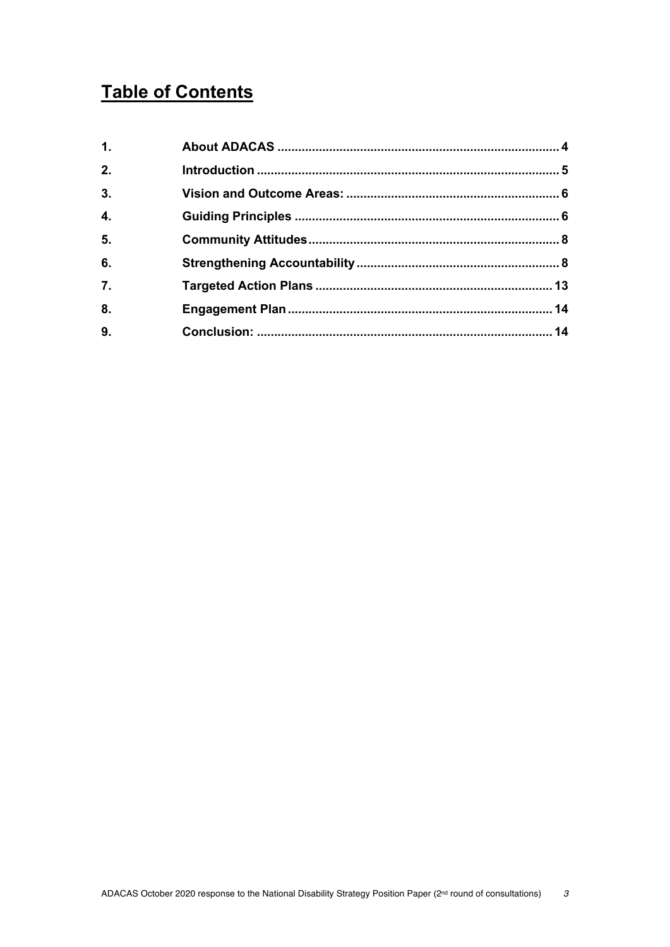### **Table of Contents**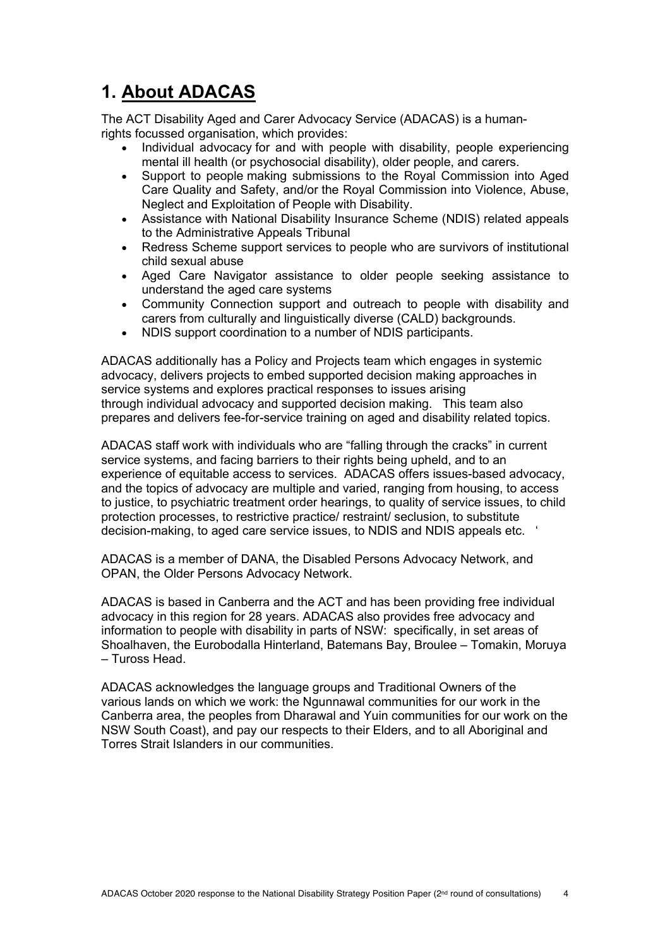### **1. About ADACAS**

The ACT Disability Aged and Carer Advocacy Service (ADACAS) is a humanrights focussed organisation, which provides:

- Individual advocacy for and with people with disability, people experiencing mental ill health (or psychosocial disability), older people, and carers.
- Support to people making submissions to the Royal Commission into Aged Care Quality and Safety, and/or the Royal Commission into Violence, Abuse, Neglect and Exploitation of People with Disability.
- Assistance with National Disability Insurance Scheme (NDIS) related appeals to the Administrative Appeals Tribunal
- Redress Scheme support services to people who are survivors of institutional child sexual abuse
- Aged Care Navigator assistance to older people seeking assistance to understand the aged care systems
- Community Connection support and outreach to people with disability and carers from culturally and linguistically diverse (CALD) backgrounds.
- NDIS support coordination to a number of NDIS participants.

ADACAS additionally has a Policy and Projects team which engages in systemic advocacy, delivers projects to embed supported decision making approaches in service systems and explores practical responses to issues arising through individual advocacy and supported decision making. This team also prepares and delivers fee-for-service training on aged and disability related topics.

ADACAS staff work with individuals who are "falling through the cracks" in current service systems, and facing barriers to their rights being upheld, and to an experience of equitable access to services. ADACAS offers issues-based advocacy, and the topics of advocacy are multiple and varied, ranging from housing, to access to justice, to psychiatric treatment order hearings, to quality of service issues, to child protection processes, to restrictive practice/ restraint/ seclusion, to substitute decision-making, to aged care service issues, to NDIS and NDIS appeals etc. '

ADACAS is a member of DANA, the Disabled Persons Advocacy Network, and OPAN, the Older Persons Advocacy Network.

ADACAS is based in Canberra and the ACT and has been providing free individual advocacy in this region for 28 years. ADACAS also provides free advocacy and information to people with disability in parts of NSW: specifically, in set areas of Shoalhaven, the Eurobodalla Hinterland, Batemans Bay, Broulee – Tomakin, Moruya – Tuross Head.

ADACAS acknowledges the language groups and Traditional Owners of the various lands on which we work: the Ngunnawal communities for our work in the Canberra area, the peoples from Dharawal and Yuin communities for our work on the NSW South Coast), and pay our respects to their Elders, and to all Aboriginal and Torres Strait Islanders in our communities.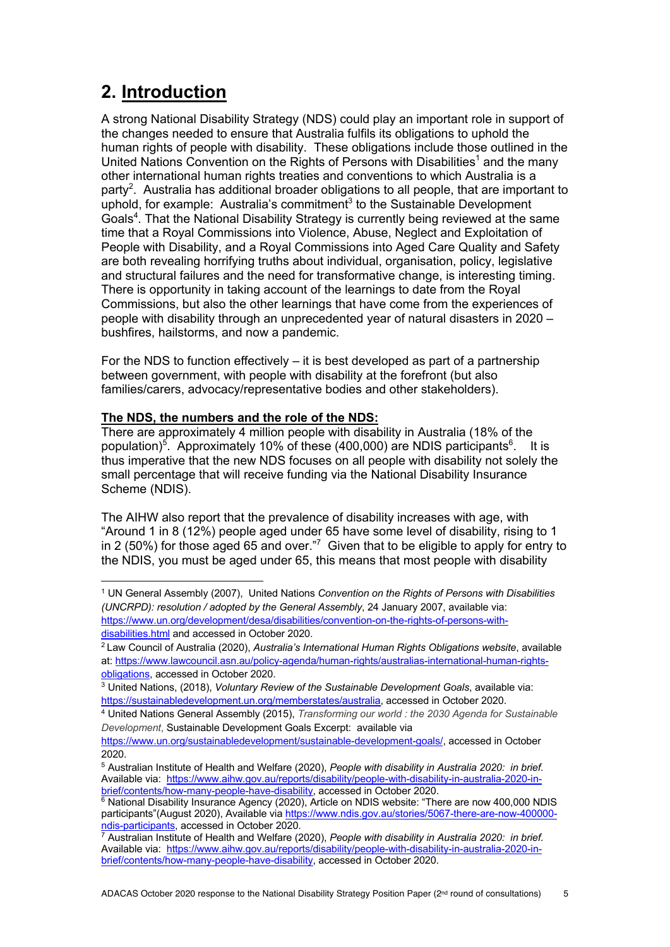#### **2. Introduction**

A strong National Disability Strategy (NDS) could play an important role in support of the changes needed to ensure that Australia fulfils its obligations to uphold the human rights of people with disability. These obligations include those outlined in the United Nations Convention on the Rights of Persons with Disabilities<sup>1</sup> and the many other international human rights treaties and conventions to which Australia is a party<sup>2</sup>. Australia has additional broader obligations to all people, that are important to uphold, for example: Australia's commitment<sup>3</sup> to the Sustainable Development Goals<sup>4</sup>. That the National Disability Strategy is currently being reviewed at the same time that a Royal Commissions into Violence, Abuse, Neglect and Exploitation of People with Disability, and a Royal Commissions into Aged Care Quality and Safety are both revealing horrifying truths about individual, organisation, policy, legislative and structural failures and the need for transformative change, is interesting timing. There is opportunity in taking account of the learnings to date from the Royal Commissions, but also the other learnings that have come from the experiences of people with disability through an unprecedented year of natural disasters in 2020 – bushfires, hailstorms, and now a pandemic.

For the NDS to function effectively  $-$  it is best developed as part of a partnership between government, with people with disability at the forefront (but also families/carers, advocacy/representative bodies and other stakeholders).

#### **The NDS, the numbers and the role of the NDS:**

There are approximately 4 million people with disability in Australia (18% of the population)<sup>5</sup>. Approximately 10% of these (400,000) are NDIS participants<sup>6</sup>. It is thus imperative that the new NDS focuses on all people with disability not solely the small percentage that will receive funding via the National Disability Insurance Scheme (NDIS).

The AIHW also report that the prevalence of disability increases with age, with "Around 1 in 8 (12%) people aged under 65 have some level of disability, rising to 1 in 2 (50%) for those aged 65 and over."<sup>7</sup> Given that to be eligible to apply for entry to the NDIS, you must be aged under 65, this means that most people with disability

<sup>1</sup> UN General Assembly (2007), United Nations *Convention on the Rights of Persons with Disabilities (UNCRPD): resolution / adopted by the General Assembly*, 24 January 2007, available via: https://www.un.org/development/desa/disabilities/convention-on-the-rights-of-persons-withdisabilities.html and accessed in October 2020.

<sup>2</sup> Law Council of Australia (2020), *Australia's International Human Rights Obligations website*, available at: https://www.lawcouncil.asn.au/policy-agenda/human-rights/australias-international-human-rightsobligations, accessed in October 2020.

<sup>3</sup> United Nations, (2018), *Voluntary Review of the Sustainable Development Goals*, available via: https://sustainabledevelopment.un.org/memberstates/australia, accessed in October 2020. 4 United Nations General Assembly (2015), *Transforming our world : the 2030 Agenda for Sustainable* 

*Development*, Sustainable Development Goals Excerpt: available via

https://www.un.org/sustainabledevelopment/sustainable-development-goals/, accessed in October 2020.

<sup>5</sup> Australian Institute of Health and Welfare (2020), *People with disability in Australia 2020: in brief.* Available via: https://www.aihw.gov.au/reports/disability/people-with-disability-in-australia-2020-inbrief/contents/how-many-people-have-disability, accessed in October 2020.

<sup>&</sup>lt;sup>6</sup> National Disability Insurance Agency (2020), Article on NDIS website: "There are now 400,000 NDIS participants"(August 2020), Available via https://www.ndis.gov.au/stories/5067-there-are-now-400000ndis-participants, accessed in October 2020.

<sup>7</sup> Australian Institute of Health and Welfare (2020), *People with disability in Australia 2020: in brief.* Available via: https://www.aihw.gov.au/reports/disability/people-with-disability-in-australia-2020-inbrief/contents/how-many-people-have-disability, accessed in October 2020.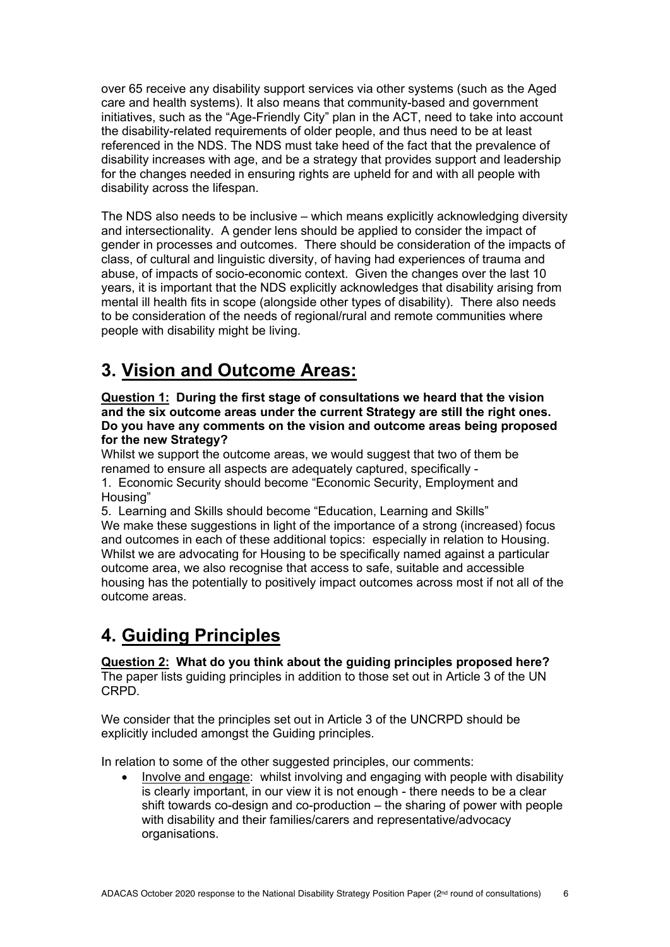over 65 receive any disability support services via other systems (such as the Aged care and health systems). It also means that community-based and government initiatives, such as the "Age-Friendly City" plan in the ACT, need to take into account the disability-related requirements of older people, and thus need to be at least referenced in the NDS. The NDS must take heed of the fact that the prevalence of disability increases with age, and be a strategy that provides support and leadership for the changes needed in ensuring rights are upheld for and with all people with disability across the lifespan.

The NDS also needs to be inclusive – which means explicitly acknowledging diversity and intersectionality. A gender lens should be applied to consider the impact of gender in processes and outcomes. There should be consideration of the impacts of class, of cultural and linguistic diversity, of having had experiences of trauma and abuse, of impacts of socio-economic context. Given the changes over the last 10 years, it is important that the NDS explicitly acknowledges that disability arising from mental ill health fits in scope (alongside other types of disability). There also needs to be consideration of the needs of regional/rural and remote communities where people with disability might be living.

### **3. Vision and Outcome Areas:**

**Question 1: During the first stage of consultations we heard that the vision and the six outcome areas under the current Strategy are still the right ones. Do you have any comments on the vision and outcome areas being proposed for the new Strategy?**

Whilst we support the outcome areas, we would suggest that two of them be renamed to ensure all aspects are adequately captured, specifically -

1. Economic Security should become "Economic Security, Employment and Housing"

5. Learning and Skills should become "Education, Learning and Skills" We make these suggestions in light of the importance of a strong (increased) focus and outcomes in each of these additional topics: especially in relation to Housing. Whilst we are advocating for Housing to be specifically named against a particular outcome area, we also recognise that access to safe, suitable and accessible housing has the potentially to positively impact outcomes across most if not all of the outcome areas.

### **4. Guiding Principles**

**Question 2: What do you think about the guiding principles proposed here?** The paper lists guiding principles in addition to those set out in Article 3 of the UN CRPD.

We consider that the principles set out in Article 3 of the UNCRPD should be explicitly included amongst the Guiding principles.

In relation to some of the other suggested principles, our comments:

• Involve and engage: whilst involving and engaging with people with disability is clearly important, in our view it is not enough - there needs to be a clear shift towards co-design and co-production – the sharing of power with people with disability and their families/carers and representative/advocacy organisations.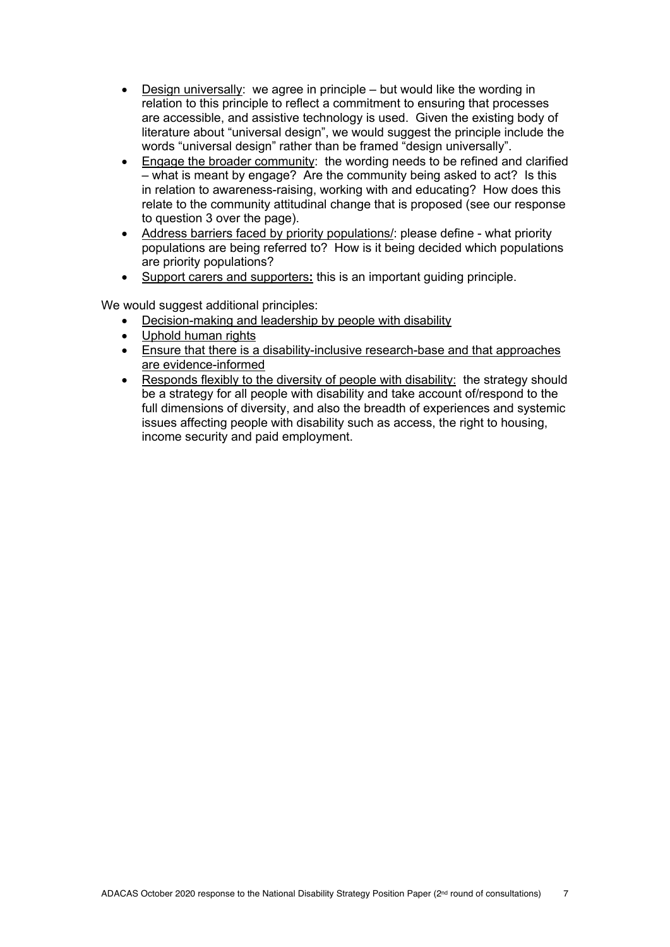- Design universally: we agree in principle but would like the wording in relation to this principle to reflect a commitment to ensuring that processes are accessible, and assistive technology is used. Given the existing body of literature about "universal design", we would suggest the principle include the words "universal design" rather than be framed "design universally".
- Engage the broader community: the wording needs to be refined and clarified – what is meant by engage? Are the community being asked to act? Is this in relation to awareness-raising, working with and educating? How does this relate to the community attitudinal change that is proposed (see our response to question 3 over the page).
- Address barriers faced by priority populations/: please define what priority populations are being referred to? How is it being decided which populations are priority populations?
- Support carers and supporters**:** this is an important guiding principle.

We would suggest additional principles:

- Decision-making and leadership by people with disability
- Uphold human rights
- Ensure that there is a disability-inclusive research-base and that approaches are evidence-informed
- Responds flexibly to the diversity of people with disability: the strategy should be a strategy for all people with disability and take account of/respond to the full dimensions of diversity, and also the breadth of experiences and systemic issues affecting people with disability such as access, the right to housing, income security and paid employment.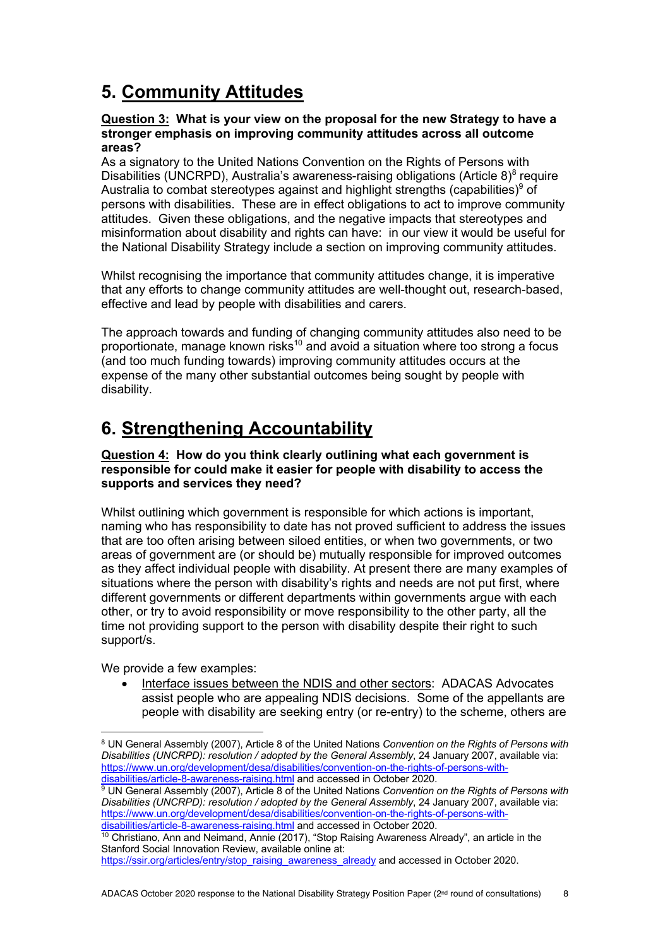### **5. Community Attitudes**

#### **Question 3: What is your view on the proposal for the new Strategy to have a stronger emphasis on improving community attitudes across all outcome areas?**

As a signatory to the United Nations Convention on the Rights of Persons with Disabilities (UNCRPD), Australia's awareness-raising obligations (Article  $8$ )<sup>8</sup> require Australia to combat stereotypes against and highlight strengths (capabilities) $9$  of persons with disabilities. These are in effect obligations to act to improve community attitudes. Given these obligations, and the negative impacts that stereotypes and misinformation about disability and rights can have: in our view it would be useful for the National Disability Strategy include a section on improving community attitudes.

Whilst recognising the importance that community attitudes change, it is imperative that any efforts to change community attitudes are well-thought out, research-based, effective and lead by people with disabilities and carers.

The approach towards and funding of changing community attitudes also need to be proportionate, manage known risks<sup>10</sup> and avoid a situation where too strong a focus (and too much funding towards) improving community attitudes occurs at the expense of the many other substantial outcomes being sought by people with disability.

### **6. Strengthening Accountability**

#### **Question 4: How do you think clearly outlining what each government is responsible for could make it easier for people with disability to access the supports and services they need?**

Whilst outlining which government is responsible for which actions is important, naming who has responsibility to date has not proved sufficient to address the issues that are too often arising between siloed entities, or when two governments, or two areas of government are (or should be) mutually responsible for improved outcomes as they affect individual people with disability. At present there are many examples of situations where the person with disability's rights and needs are not put first, where different governments or different departments within governments argue with each other, or try to avoid responsibility or move responsibility to the other party, all the time not providing support to the person with disability despite their right to such support/s.

We provide a few examples:

• Interface issues between the NDIS and other sectors: ADACAS Advocates assist people who are appealing NDIS decisions. Some of the appellants are people with disability are seeking entry (or re-entry) to the scheme, others are

<sup>8</sup> UN General Assembly (2007), Article 8 of the United Nations *Convention on the Rights of Persons with Disabilities (UNCRPD): resolution / adopted by the General Assembly*, 24 January 2007, available via: https://www.un.org/development/desa/disabilities/convention-on-the-rights-of-persons-withdisabilities/article-8-awareness-raising.html and accessed in October 2020.

<sup>9</sup> UN General Assembly (2007), Article 8 of the United Nations *Convention on the Rights of Persons with Disabilities (UNCRPD): resolution / adopted by the General Assembly*, 24 January 2007, available via: https://www.un.org/development/desa/disabilities/convention-on-the-rights-of-persons-withdisabilities/article-8-awareness-raising.html and accessed in October 2020.

 $10$  Christiano, Ann and Neimand, Annie (2017), "Stop Raising Awareness Already", an article in the Stanford Social Innovation Review, available online at:

https://ssir.org/articles/entry/stop\_raising\_awareness\_already and accessed in October 2020.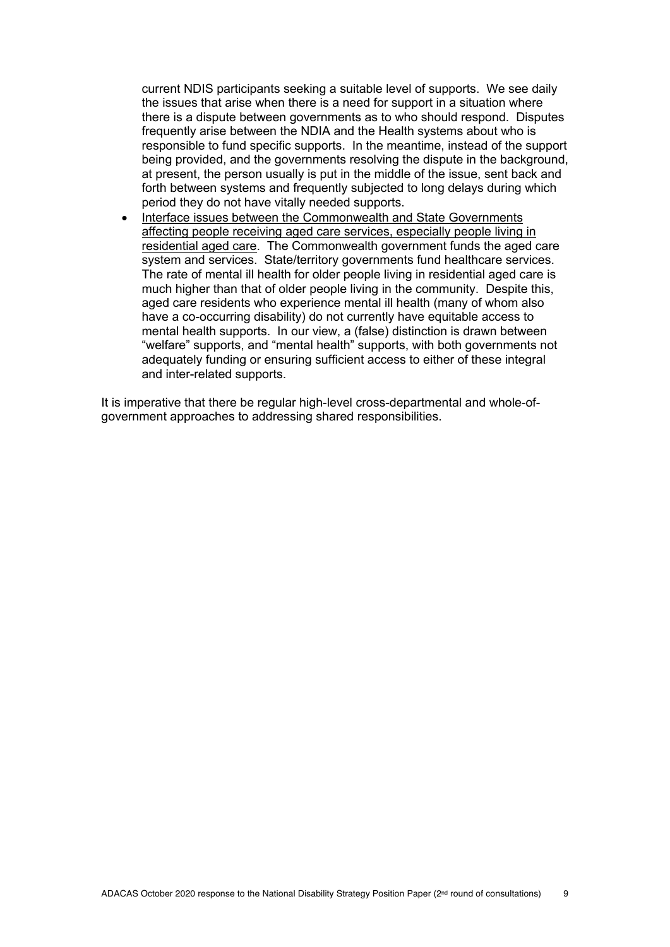current NDIS participants seeking a suitable level of supports. We see daily the issues that arise when there is a need for support in a situation where there is a dispute between governments as to who should respond. Disputes frequently arise between the NDIA and the Health systems about who is responsible to fund specific supports. In the meantime, instead of the support being provided, and the governments resolving the dispute in the background, at present, the person usually is put in the middle of the issue, sent back and forth between systems and frequently subjected to long delays during which period they do not have vitally needed supports.

• Interface issues between the Commonwealth and State Governments affecting people receiving aged care services, especially people living in residential aged care. The Commonwealth government funds the aged care system and services. State/territory governments fund healthcare services. The rate of mental ill health for older people living in residential aged care is much higher than that of older people living in the community. Despite this, aged care residents who experience mental ill health (many of whom also have a co-occurring disability) do not currently have equitable access to mental health supports. In our view, a (false) distinction is drawn between "welfare" supports, and "mental health" supports, with both governments not adequately funding or ensuring sufficient access to either of these integral and inter-related supports.

It is imperative that there be regular high-level cross-departmental and whole-ofgovernment approaches to addressing shared responsibilities.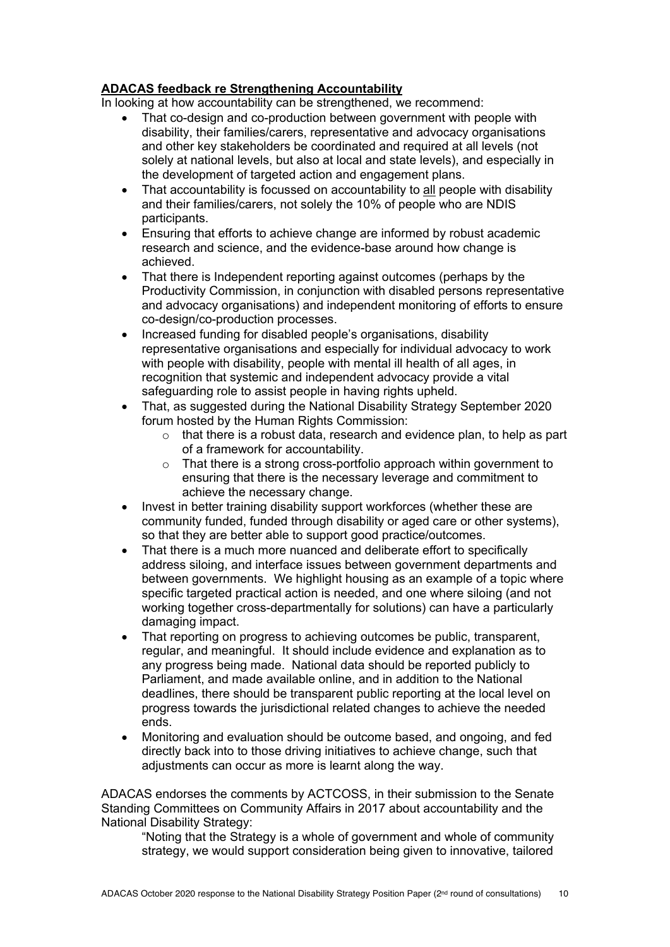#### **ADACAS feedback re Strengthening Accountability**

In looking at how accountability can be strengthened, we recommend:

- That co-design and co-production between government with people with disability, their families/carers, representative and advocacy organisations and other key stakeholders be coordinated and required at all levels (not solely at national levels, but also at local and state levels), and especially in the development of targeted action and engagement plans.
- That accountability is focussed on accountability to all people with disability and their families/carers, not solely the 10% of people who are NDIS participants.
- Ensuring that efforts to achieve change are informed by robust academic research and science, and the evidence-base around how change is achieved.
- That there is Independent reporting against outcomes (perhaps by the Productivity Commission, in conjunction with disabled persons representative and advocacy organisations) and independent monitoring of efforts to ensure co-design/co-production processes.
- Increased funding for disabled people's organisations, disability representative organisations and especially for individual advocacy to work with people with disability, people with mental ill health of all ages, in recognition that systemic and independent advocacy provide a vital safeguarding role to assist people in having rights upheld.
- That, as suggested during the National Disability Strategy September 2020 forum hosted by the Human Rights Commission:
	- o that there is a robust data, research and evidence plan, to help as part of a framework for accountability.
	- o That there is a strong cross-portfolio approach within government to ensuring that there is the necessary leverage and commitment to achieve the necessary change.
- Invest in better training disability support workforces (whether these are community funded, funded through disability or aged care or other systems), so that they are better able to support good practice/outcomes.
- That there is a much more nuanced and deliberate effort to specifically address siloing, and interface issues between government departments and between governments. We highlight housing as an example of a topic where specific targeted practical action is needed, and one where siloing (and not working together cross-departmentally for solutions) can have a particularly damaging impact.
- That reporting on progress to achieving outcomes be public, transparent, regular, and meaningful. It should include evidence and explanation as to any progress being made. National data should be reported publicly to Parliament, and made available online, and in addition to the National deadlines, there should be transparent public reporting at the local level on progress towards the jurisdictional related changes to achieve the needed ends.
- Monitoring and evaluation should be outcome based, and ongoing, and fed directly back into to those driving initiatives to achieve change, such that adjustments can occur as more is learnt along the way.

ADACAS endorses the comments by ACTCOSS, in their submission to the Senate Standing Committees on Community Affairs in 2017 about accountability and the National Disability Strategy:

"Noting that the Strategy is a whole of government and whole of community strategy, we would support consideration being given to innovative, tailored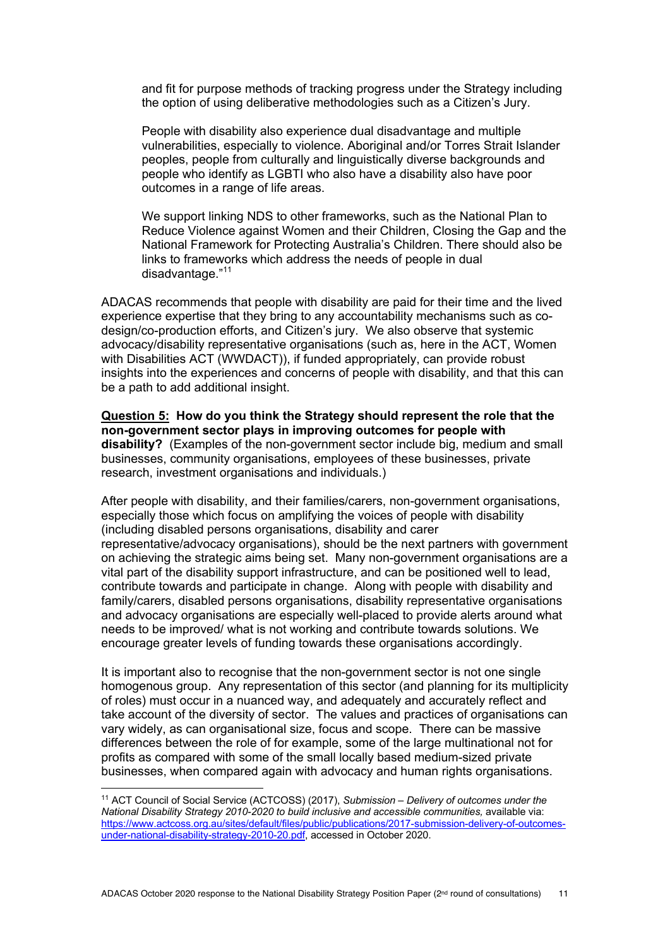and fit for purpose methods of tracking progress under the Strategy including the option of using deliberative methodologies such as a Citizen's Jury.

People with disability also experience dual disadvantage and multiple vulnerabilities, especially to violence. Aboriginal and/or Torres Strait Islander peoples, people from culturally and linguistically diverse backgrounds and people who identify as LGBTI who also have a disability also have poor outcomes in a range of life areas.

We support linking NDS to other frameworks, such as the National Plan to Reduce Violence against Women and their Children, Closing the Gap and the National Framework for Protecting Australia's Children. There should also be links to frameworks which address the needs of people in dual disadvantage."<sup>11</sup>

ADACAS recommends that people with disability are paid for their time and the lived experience expertise that they bring to any accountability mechanisms such as codesign/co-production efforts, and Citizen's jury. We also observe that systemic advocacy/disability representative organisations (such as, here in the ACT, Women with Disabilities ACT (WWDACT)), if funded appropriately, can provide robust insights into the experiences and concerns of people with disability, and that this can be a path to add additional insight.

**Question 5: How do you think the Strategy should represent the role that the non-government sector plays in improving outcomes for people with disability?** (Examples of the non-government sector include big, medium and small businesses, community organisations, employees of these businesses, private research, investment organisations and individuals.)

After people with disability, and their families/carers, non-government organisations, especially those which focus on amplifying the voices of people with disability (including disabled persons organisations, disability and carer representative/advocacy organisations), should be the next partners with government on achieving the strategic aims being set. Many non-government organisations are a vital part of the disability support infrastructure, and can be positioned well to lead, contribute towards and participate in change. Along with people with disability and family/carers, disabled persons organisations, disability representative organisations and advocacy organisations are especially well-placed to provide alerts around what needs to be improved/ what is not working and contribute towards solutions. We encourage greater levels of funding towards these organisations accordingly.

It is important also to recognise that the non-government sector is not one single homogenous group. Any representation of this sector (and planning for its multiplicity of roles) must occur in a nuanced way, and adequately and accurately reflect and take account of the diversity of sector. The values and practices of organisations can vary widely, as can organisational size, focus and scope. There can be massive differences between the role of for example, some of the large multinational not for profits as compared with some of the small locally based medium-sized private businesses, when compared again with advocacy and human rights organisations.

<sup>11</sup> ACT Council of Social Service (ACTCOSS) (2017), *Submission – Delivery of outcomes under the National Disability Strategy 2010-2020 to build inclusive and accessible communities,* available via: https://www.actcoss.org.au/sites/default/files/public/publications/2017-submission-delivery-of-outcomesunder-national-disability-strategy-2010-20.pdf, accessed in October 2020.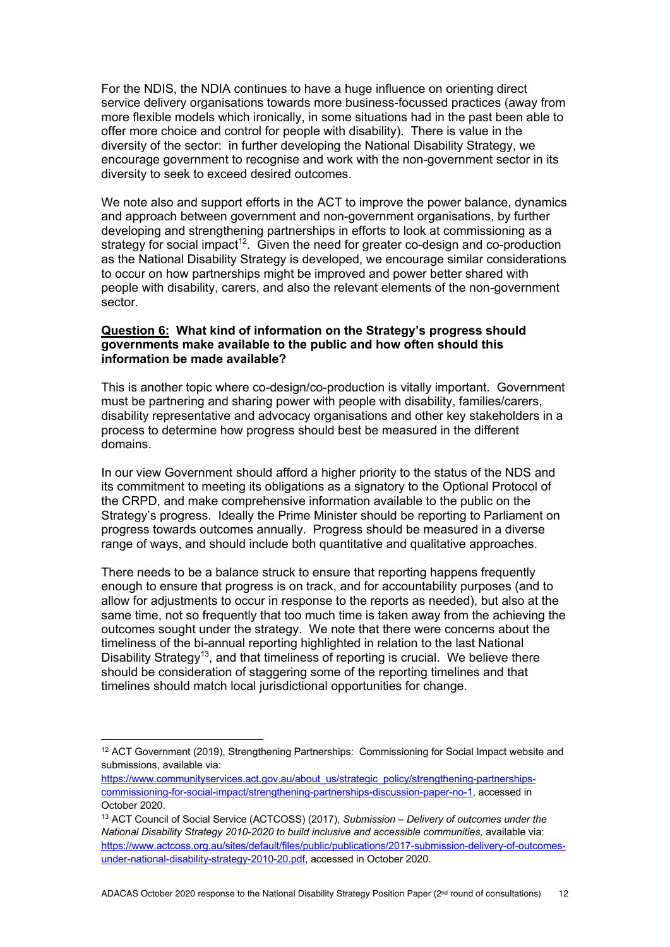For the NDIS, the NDIA continues to have a huge influence on orienting direct service delivery organisations towards more business-focussed practices (away from more flexible models which ironically, in some situations had in the past been able to offer more choice and control for people with disability). There is value in the diversity of the sector: in further developing the National Disability Strategy, we encourage government to recognise and work with the non-government sector in its diversity to seek to exceed desired outcomes.

We note also and support efforts in the ACT to improve the power balance, dynamics and approach between government and non-government organisations, by further developing and strengthening partnerships in efforts to look at commissioning as a strategy for social impact<sup>12</sup>. Given the need for greater co-design and co-production as the National Disability Strategy is developed, we encourage similar considerations to occur on how partnerships might be improved and power better shared with people with disability, carers, and also the relevant elements of the non-government sector.

#### **Question 6: What kind of information on the Strategy's progress should governments make available to the public and how often should this information be made available?**

This is another topic where co-design/co-production is vitally important. Government must be partnering and sharing power with people with disability, families/carers, disability representative and advocacy organisations and other key stakeholders in a process to determine how progress should best be measured in the different domains.

In our view Government should afford a higher priority to the status of the NDS and its commitment to meeting its obligations as a signatory to the Optional Protocol of the CRPD, and make comprehensive information available to the public on the Strategy's progress. Ideally the Prime Minister should be reporting to Parliament on progress towards outcomes annually. Progress should be measured in a diverse range of ways, and should include both quantitative and qualitative approaches.

There needs to be a balance struck to ensure that reporting happens frequently enough to ensure that progress is on track, and for accountability purposes (and to allow for adjustments to occur in response to the reports as needed), but also at the same time, not so frequently that too much time is taken away from the achieving the outcomes sought under the strategy. We note that there were concerns about the timeliness of the bi-annual reporting highlighted in relation to the last National Disability Strategy<sup>13</sup>, and that timeliness of reporting is crucial. We believe there should be consideration of staggering some of the reporting timelines and that timelines should match local jurisdictional opportunities for change.

<sup>12</sup> ACT Government (2019), Strengthening Partnerships: Commissioning for Social Impact website and submissions, available via:

https://www.communityservices.act.gov.au/about\_us/strategic\_policy/strengthening-partnershipscommissioning-for-social-impact/strengthening-partnerships-discussion-paper-no-1, accessed in October 2020. 13 ACT Council of Social Service (ACTCOSS) (2017), *Submission – Delivery of outcomes under the* 

*National Disability Strategy 2010-2020 to build inclusive and accessible communities,* available via: https://www.actcoss.org.au/sites/default/files/public/publications/2017-submission-delivery-of-outcomesunder-national-disability-strategy-2010-20.pdf, accessed in October 2020.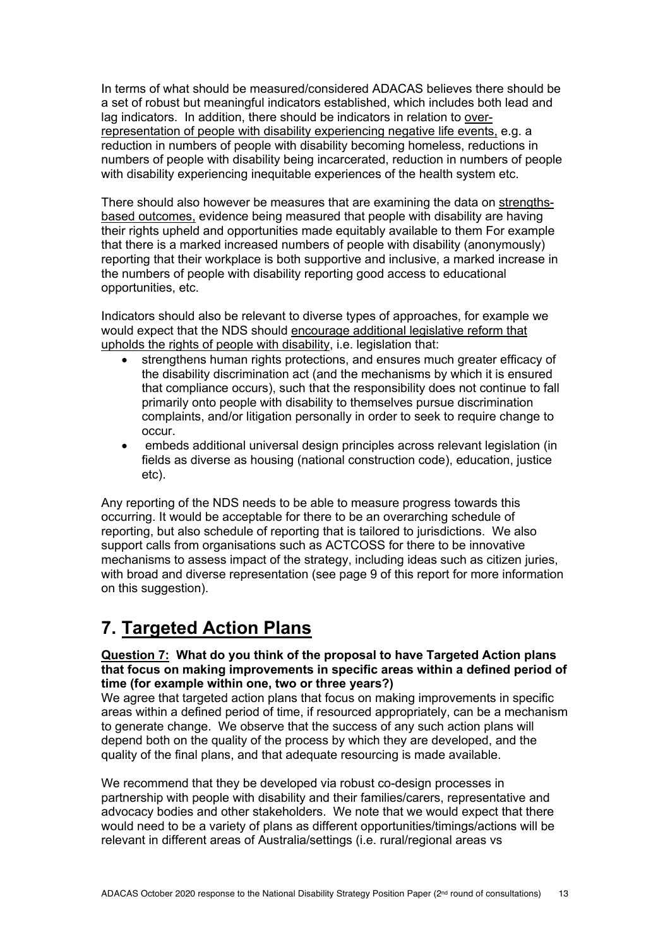In terms of what should be measured/considered ADACAS believes there should be a set of robust but meaningful indicators established, which includes both lead and lag indicators. In addition, there should be indicators in relation to overrepresentation of people with disability experiencing negative life events, e.g. a reduction in numbers of people with disability becoming homeless, reductions in numbers of people with disability being incarcerated, reduction in numbers of people with disability experiencing inequitable experiences of the health system etc.

There should also however be measures that are examining the data on strengthsbased outcomes, evidence being measured that people with disability are having their rights upheld and opportunities made equitably available to them For example that there is a marked increased numbers of people with disability (anonymously) reporting that their workplace is both supportive and inclusive, a marked increase in the numbers of people with disability reporting good access to educational opportunities, etc.

Indicators should also be relevant to diverse types of approaches, for example we would expect that the NDS should encourage additional legislative reform that upholds the rights of people with disability, i.e. legislation that:

- strengthens human rights protections, and ensures much greater efficacy of the disability discrimination act (and the mechanisms by which it is ensured that compliance occurs), such that the responsibility does not continue to fall primarily onto people with disability to themselves pursue discrimination complaints, and/or litigation personally in order to seek to require change to occur.
- embeds additional universal design principles across relevant legislation (in fields as diverse as housing (national construction code), education, justice etc).

Any reporting of the NDS needs to be able to measure progress towards this occurring. It would be acceptable for there to be an overarching schedule of reporting, but also schedule of reporting that is tailored to jurisdictions. We also support calls from organisations such as ACTCOSS for there to be innovative mechanisms to assess impact of the strategy, including ideas such as citizen juries, with broad and diverse representation (see page 9 of this report for more information on this suggestion).

### **7. Targeted Action Plans**

#### **Question 7: What do you think of the proposal to have Targeted Action plans that focus on making improvements in specific areas within a defined period of time (for example within one, two or three years?)**

We agree that targeted action plans that focus on making improvements in specific areas within a defined period of time, if resourced appropriately, can be a mechanism to generate change. We observe that the success of any such action plans will depend both on the quality of the process by which they are developed, and the quality of the final plans, and that adequate resourcing is made available.

We recommend that they be developed via robust co-design processes in partnership with people with disability and their families/carers, representative and advocacy bodies and other stakeholders. We note that we would expect that there would need to be a variety of plans as different opportunities/timings/actions will be relevant in different areas of Australia/settings (i.e. rural/regional areas vs